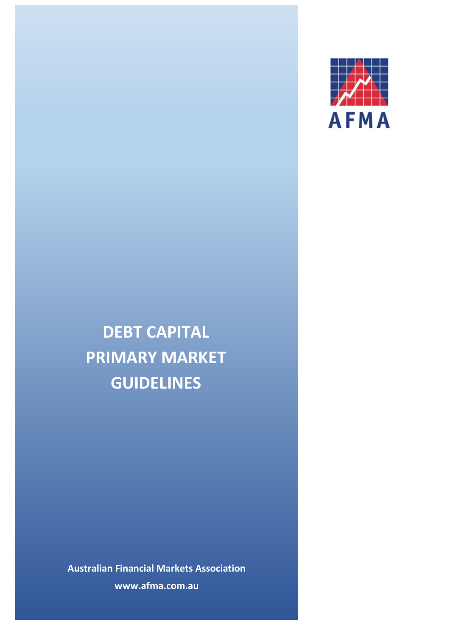

# **DEBT CAPITAL PRIMARY MARKET GUIDELINES**

**Australian Financial Markets Association www.afma.com.au**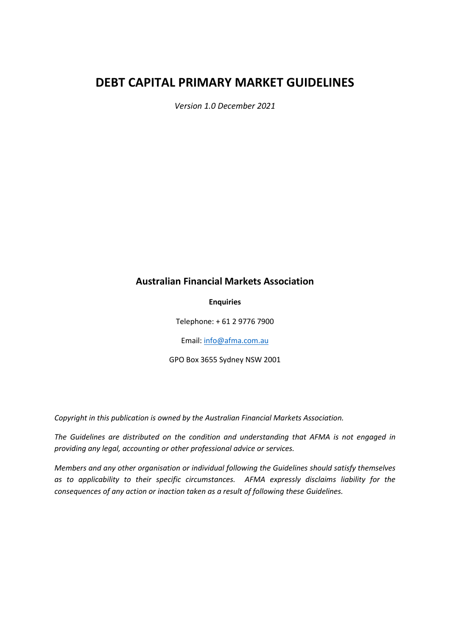# **DEBT CAPITAL PRIMARY MARKET GUIDELINES**

*Version 1.0 December 2021*

# **Australian Financial Markets Association**

**Enquiries**

Telephone: + 61 2 9776 7900

Email[: info@afma.com.au](mailto:info@afma.com.au)

GPO Box 3655 Sydney NSW 2001

*Copyright in this publication is owned by the Australian Financial Markets Association.*

*The Guidelines are distributed on the condition and understanding that AFMA is not engaged in providing any legal, accounting or other professional advice or services.*

*Members and any other organisation or individual following the Guidelines should satisfy themselves as to applicability to their specific circumstances. AFMA expressly disclaims liability for the consequences of any action or inaction taken as a result of following these Guidelines.*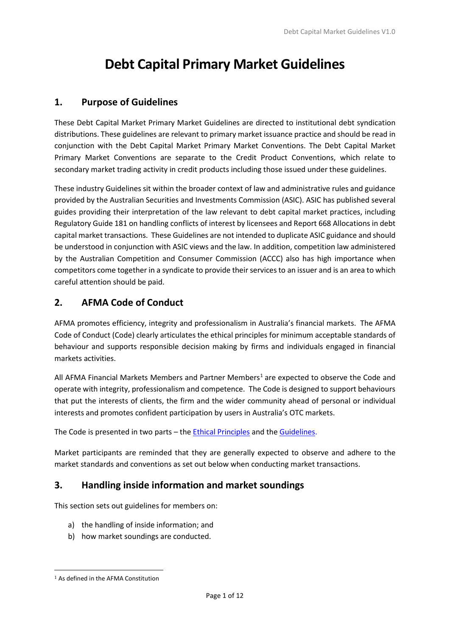# **Debt Capital Primary Market Guidelines**

# **1. Purpose of Guidelines**

These Debt Capital Market Primary Market Guidelines are directed to institutional debt syndication distributions. These guidelines are relevant to primary market issuance practice and should be read in conjunction with the Debt Capital Market Primary Market Conventions. The Debt Capital Market Primary Market Conventions are separate to the Credit Product Conventions, which relate to secondary market trading activity in credit products including those issued under these guidelines.

These industry Guidelines sit within the broader context of law and administrative rules and guidance provided by the Australian Securities and Investments Commission (ASIC). ASIC has published several guides providing their interpretation of the law relevant to debt capital market practices, including Regulatory Guide 181 on handling conflicts of interest by licensees and Report 668 Allocations in debt capital market transactions. These Guidelines are not intended to duplicate ASIC guidance and should be understood in conjunction with ASIC views and the law. In addition, competition law administered by the Australian Competition and Consumer Commission (ACCC) also has high importance when competitors come together in a syndicate to provide their services to an issuer and is an area to which careful attention should be paid.

# **2. AFMA Code of Conduct**

AFMA promotes efficiency, integrity and professionalism in Australia's financial markets. The AFMA Code of Conduct (Code) clearly articulates the ethical principles for minimum acceptable standards of behaviour and supports responsible decision making by firms and individuals engaged in financial markets activities.

All AFMA Financial Markets Members and Partner Members<sup>[1](#page-2-0)</sup> are expected to observe the Code and operate with integrity, professionalism and competence. The Code is designed to support behaviours that put the interests of clients, the firm and the wider community ahead of personal or individual interests and promotes confident participation by users in Australia's OTC markets.

The Code is presented in two parts – the [Ethical Principles](http://www.afma.com.au/afmawr/_assets/main/LIB90010/Code%20of%20Conduct%20-%20ETHICAL%20PRINCIPLES.pdf) and the [Guidelines.](http://www.afma.com.au/afmawr/_assets/main/LIB90010/Code%20of%20Conduct%20-%20GUIDELINES.pdf)

Market participants are reminded that they are generally expected to observe and adhere to the market standards and conventions as set out below when conducting market transactions.

# **3. Handling inside information and market soundings**

This section sets out guidelines for members on:

- a) the handling of inside information; and
- b) how market soundings are conducted.

<span id="page-2-0"></span><sup>1</sup> As defined in the AFMA Constitution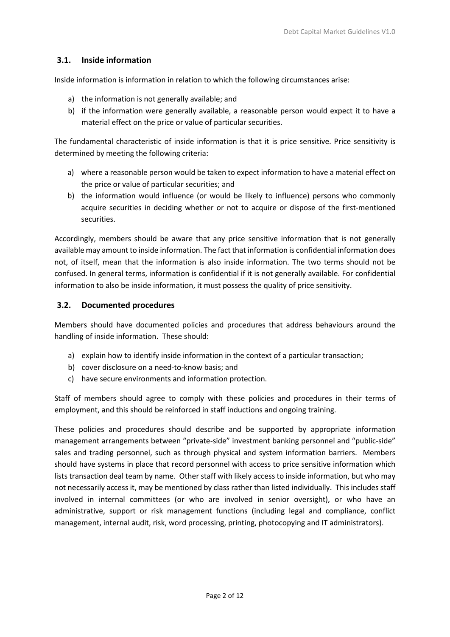#### **3.1. Inside information**

Inside information is information in relation to which the following circumstances arise:

- a) the information is not generally available; and
- b) if the information were generally available, a reasonable person would expect it to have a material effect on the price or value of particular securities.

The fundamental characteristic of inside information is that it is price sensitive. Price sensitivity is determined by meeting the following criteria:

- a) where a reasonable person would be taken to expect information to have a material effect on the price or value of particular securities; and
- b) the information would influence (or would be likely to influence) persons who commonly acquire securities in deciding whether or not to acquire or dispose of the first-mentioned securities.

Accordingly, members should be aware that any price sensitive information that is not generally available may amount to inside information. The fact that information is confidential information does not, of itself, mean that the information is also inside information. The two terms should not be confused. In general terms, information is confidential if it is not generally available. For confidential information to also be inside information, it must possess the quality of price sensitivity.

#### **3.2. Documented procedures**

Members should have documented policies and procedures that address behaviours around the handling of inside information. These should:

- a) explain how to identify inside information in the context of a particular transaction;
- b) cover disclosure on a need-to-know basis; and
- c) have secure environments and information protection.

Staff of members should agree to comply with these policies and procedures in their terms of employment, and this should be reinforced in staff inductions and ongoing training.

These policies and procedures should describe and be supported by appropriate information management arrangements between "private-side" investment banking personnel and "public-side" sales and trading personnel, such as through physical and system information barriers. Members should have systems in place that record personnel with access to price sensitive information which lists transaction deal team by name. Other staff with likely access to inside information, but who may not necessarily access it, may be mentioned by class rather than listed individually. This includes staff involved in internal committees (or who are involved in senior oversight), or who have an administrative, support or risk management functions (including legal and compliance, conflict management, internal audit, risk, word processing, printing, photocopying and IT administrators).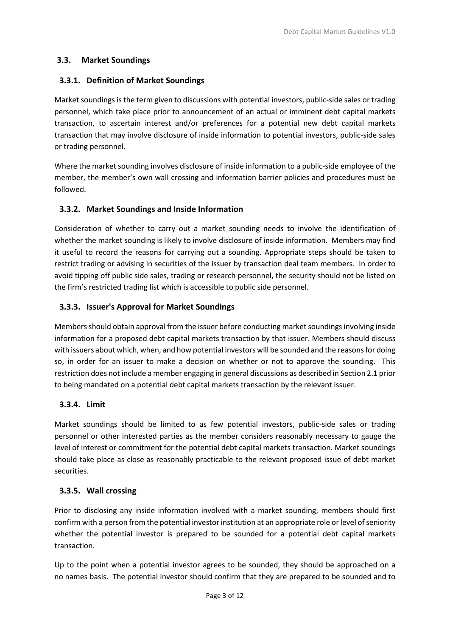#### **3.3. Market Soundings**

#### **3.3.1. Definition of Market Soundings**

Market soundings is the term given to discussions with potential investors, public-side sales or trading personnel, which take place prior to announcement of an actual or imminent debt capital markets transaction, to ascertain interest and/or preferences for a potential new debt capital markets transaction that may involve disclosure of inside information to potential investors, public-side sales or trading personnel.

Where the market sounding involves disclosure of inside information to a public-side employee of the member, the member's own wall crossing and information barrier policies and procedures must be followed.

#### **3.3.2. Market Soundings and Inside Information**

Consideration of whether to carry out a market sounding needs to involve the identification of whether the market sounding is likely to involve disclosure of inside information. Members may find it useful to record the reasons for carrying out a sounding. Appropriate steps should be taken to restrict trading or advising in securities of the issuer by transaction deal team members. In order to avoid tipping off public side sales, trading or research personnel, the security should not be listed on the firm's restricted trading list which is accessible to public side personnel.

#### **3.3.3. Issuer's Approval for Market Soundings**

Members should obtain approval from the issuer before conducting market soundings involving inside information for a proposed debt capital markets transaction by that issuer. Members should discuss with issuers about which, when, and how potential investors will be sounded and the reasons for doing so, in order for an issuer to make a decision on whether or not to approve the sounding. This restriction does not include a member engaging in general discussions as described in Section 2.1 prior to being mandated on a potential debt capital markets transaction by the relevant issuer.

#### **3.3.4. Limit**

Market soundings should be limited to as few potential investors, public-side sales or trading personnel or other interested parties as the member considers reasonably necessary to gauge the level of interest or commitment for the potential debt capital markets transaction. Market soundings should take place as close as reasonably practicable to the relevant proposed issue of debt market securities.

#### **3.3.5. Wall crossing**

Prior to disclosing any inside information involved with a market sounding, members should first confirm with a person from the potential investor institution at an appropriate role or level of seniority whether the potential investor is prepared to be sounded for a potential debt capital markets transaction.

Up to the point when a potential investor agrees to be sounded, they should be approached on a no names basis. The potential investor should confirm that they are prepared to be sounded and to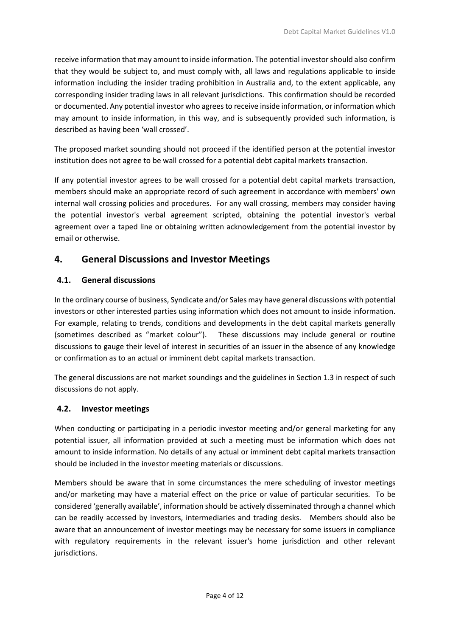receive information that may amount to inside information. The potential investor should also confirm that they would be subject to, and must comply with, all laws and regulations applicable to inside information including the insider trading prohibition in Australia and, to the extent applicable, any corresponding insider trading laws in all relevant jurisdictions. This confirmation should be recorded or documented. Any potential investor who agrees to receive inside information, or information which may amount to inside information, in this way, and is subsequently provided such information, is described as having been 'wall crossed'.

The proposed market sounding should not proceed if the identified person at the potential investor institution does not agree to be wall crossed for a potential debt capital markets transaction.

If any potential investor agrees to be wall crossed for a potential debt capital markets transaction, members should make an appropriate record of such agreement in accordance with members' own internal wall crossing policies and procedures. For any wall crossing, members may consider having the potential investor's verbal agreement scripted, obtaining the potential investor's verbal agreement over a taped line or obtaining written acknowledgement from the potential investor by email or otherwise.

# **4. General Discussions and Investor Meetings**

#### **4.1. General discussions**

In the ordinary course of business, Syndicate and/or Sales may have general discussions with potential investors or other interested parties using information which does not amount to inside information. For example, relating to trends, conditions and developments in the debt capital markets generally (sometimes described as "market colour"). These discussions may include general or routine discussions to gauge their level of interest in securities of an issuer in the absence of any knowledge or confirmation as to an actual or imminent debt capital markets transaction.

The general discussions are not market soundings and the guidelines in Section 1.3 in respect of such discussions do not apply.

#### **4.2. Investor meetings**

When conducting or participating in a periodic investor meeting and/or general marketing for any potential issuer, all information provided at such a meeting must be information which does not amount to inside information. No details of any actual or imminent debt capital markets transaction should be included in the investor meeting materials or discussions.

Members should be aware that in some circumstances the mere scheduling of investor meetings and/or marketing may have a material effect on the price or value of particular securities. To be considered 'generally available', information should be actively disseminated through a channel which can be readily accessed by investors, intermediaries and trading desks. Members should also be aware that an announcement of investor meetings may be necessary for some issuers in compliance with regulatory requirements in the relevant issuer's home jurisdiction and other relevant jurisdictions.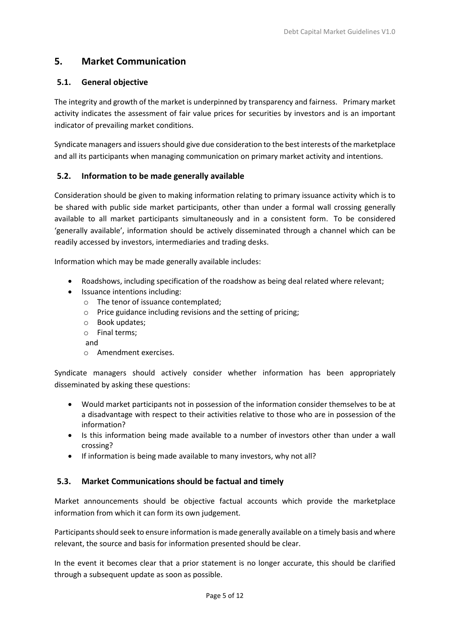# **5. Market Communication**

#### **5.1. General objective**

The integrity and growth of the market is underpinned by transparency and fairness. Primary market activity indicates the assessment of fair value prices for securities by investors and is an important indicator of prevailing market conditions.

Syndicate managers and issuers should give due consideration to the best interests of the marketplace and all its participants when managing communication on primary market activity and intentions.

#### **5.2. Information to be made generally available**

Consideration should be given to making information relating to primary issuance activity which is to be shared with public side market participants, other than under a formal wall crossing generally available to all market participants simultaneously and in a consistent form. To be considered 'generally available', information should be actively disseminated through a channel which can be readily accessed by investors, intermediaries and trading desks.

Information which may be made generally available includes:

- Roadshows, including specification of the roadshow as being deal related where relevant;
- Issuance intentions including:
	- o The tenor of issuance contemplated;
	- o Price guidance including revisions and the setting of pricing;
	- o Book updates;
	- o Final terms;
	- and
	- o Amendment exercises.

Syndicate managers should actively consider whether information has been appropriately disseminated by asking these questions:

- Would market participants not in possession of the information consider themselves to be at a disadvantage with respect to their activities relative to those who are in possession of the information?
- Is this information being made available to a number of investors other than under a wall crossing?
- If information is being made available to many investors, why not all?

#### **5.3. Market Communications should be factual and timely**

Market announcements should be objective factual accounts which provide the marketplace information from which it can form its own judgement.

Participants should seek to ensure information is made generally available on a timely basis and where relevant, the source and basis for information presented should be clear.

In the event it becomes clear that a prior statement is no longer accurate, this should be clarified through a subsequent update as soon as possible.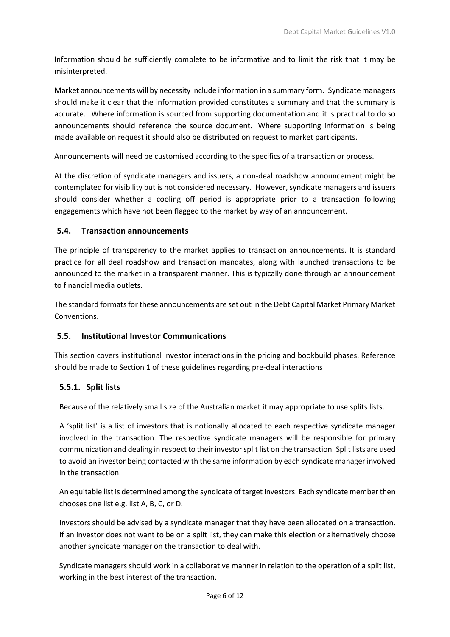Information should be sufficiently complete to be informative and to limit the risk that it may be misinterpreted.

Market announcements will by necessity include information in a summary form. Syndicate managers should make it clear that the information provided constitutes a summary and that the summary is accurate. Where information is sourced from supporting documentation and it is practical to do so announcements should reference the source document. Where supporting information is being made available on request it should also be distributed on request to market participants.

Announcements will need be customised according to the specifics of a transaction or process.

At the discretion of syndicate managers and issuers, a non-deal roadshow announcement might be contemplated for visibility but is not considered necessary. However, syndicate managers and issuers should consider whether a cooling off period is appropriate prior to a transaction following engagements which have not been flagged to the market by way of an announcement.

#### **5.4. Transaction announcements**

The principle of transparency to the market applies to transaction announcements. It is standard practice for all deal roadshow and transaction mandates, along with launched transactions to be announced to the market in a transparent manner. This is typically done through an announcement to financial media outlets.

The standard formats for these announcements are set out in the Debt Capital Market Primary Market Conventions.

#### **5.5. Institutional Investor Communications**

This section covers institutional investor interactions in the pricing and bookbuild phases. Reference should be made to Section 1 of these guidelines regarding pre-deal interactions

#### **5.5.1. Split lists**

Because of the relatively small size of the Australian market it may appropriate to use splits lists.

A 'split list' is a list of investors that is notionally allocated to each respective syndicate manager involved in the transaction. The respective syndicate managers will be responsible for primary communication and dealing in respect to their investor split list on the transaction. Split lists are used to avoid an investor being contacted with the same information by each syndicate manager involved in the transaction.

An equitable list is determined among the syndicate of target investors. Each syndicate member then chooses one list e.g. list A, B, C, or D.

Investors should be advised by a syndicate manager that they have been allocated on a transaction. If an investor does not want to be on a split list, they can make this election or alternatively choose another syndicate manager on the transaction to deal with.

Syndicate managers should work in a collaborative manner in relation to the operation of a split list, working in the best interest of the transaction.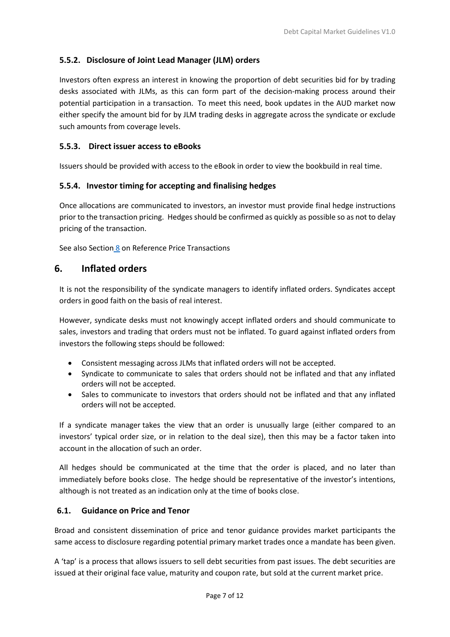#### **5.5.2. Disclosure of Joint Lead Manager (JLM) orders**

Investors often express an interest in knowing the proportion of debt securities bid for by trading desks associated with JLMs, as this can form part of the decision-making process around their potential participation in a transaction. To meet this need, book updates in the AUD market now either specify the amount bid for by JLM trading desks in aggregate across the syndicate or exclude such amounts from coverage levels.

#### **5.5.3. Direct issuer access to eBooks**

Issuers should be provided with access to the eBook in order to view the bookbuild in real time.

#### **5.5.4. Investor timing for accepting and finalising hedges**

Once allocations are communicated to investors, an investor must provide final hedge instructions prior to the transaction pricing. Hedges should be confirmed as quickly as possible so as not to delay pricing of the transaction.

See also Section 8 on Reference Price Transactions

#### **6. Inflated orders**

It is not the responsibility of the syndicate managers to identify inflated orders. Syndicates accept orders in good faith on the basis of real interest.

However, syndicate desks must not knowingly accept inflated orders and should communicate to sales, investors and trading that orders must not be inflated. To guard against inflated orders from investors the following steps should be followed:

- Consistent messaging across JLMs that inflated orders will not be accepted.
- Syndicate to communicate to sales that orders should not be inflated and that any inflated orders will not be accepted.
- Sales to communicate to investors that orders should not be inflated and that any inflated orders will not be accepted.

If a syndicate manager takes the view that an order is unusually large (either compared to an investors' typical order size, or in relation to the deal size), then this may be a factor taken into account in the allocation of such an order.

All hedges should be communicated at the time that the order is placed, and no later than immediately before books close. The hedge should be representative of the investor's intentions, although is not treated as an indication only at the time of books close.

#### **6.1. Guidance on Price and Tenor**

Broad and consistent dissemination of price and tenor guidance provides market participants the same access to disclosure regarding potential primary market trades once a mandate has been given.

A 'tap' is a process that allows issuers to sell debt securities from past issues. The debt securities are issued at their original face value, maturity and coupon rate, but sold at the current market price.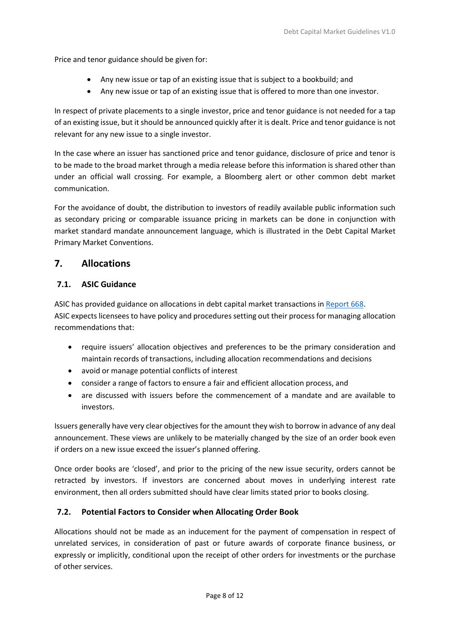Price and tenor guidance should be given for:

- Any new issue or tap of an existing issue that is subject to a bookbuild; and
- Any new issue or tap of an existing issue that is offered to more than one investor.

In respect of private placements to a single investor, price and tenor guidance is not needed for a tap of an existing issue, but it should be announced quickly after it is dealt. Price and tenor guidance is not relevant for any new issue to a single investor.

In the case where an issuer has sanctioned price and tenor guidance, disclosure of price and tenor is to be made to the broad market through a media release before this information is shared other than under an official wall crossing. For example, a Bloomberg alert or other common debt market communication.

For the avoidance of doubt, the distribution to investors of readily available public information such as secondary pricing or comparable issuance pricing in markets can be done in conjunction with market standard mandate announcement language, which is illustrated in the Debt Capital Market Primary Market Conventions.

#### **7. Allocations**

#### **7.1. ASIC Guidance**

ASIC has provided guidance on allocations in debt capital market transactions in [Report 668.](https://download.asic.gov.au/media/5791465/rep668-published-22-september-2020.pdf) ASIC expects licensees to have policy and procedures setting out their process for managing allocation recommendations that:

- require issuers' allocation objectives and preferences to be the primary consideration and maintain records of transactions, including allocation recommendations and decisions
- avoid or manage potential conflicts of interest
- consider a range of factors to ensure a fair and efficient allocation process, and
- are discussed with issuers before the commencement of a mandate and are available to investors.

Issuers generally have very clear objectives for the amount they wish to borrow in advance of any deal announcement. These views are unlikely to be materially changed by the size of an order book even if orders on a new issue exceed the issuer's planned offering.

Once order books are 'closed', and prior to the pricing of the new issue security, orders cannot be retracted by investors. If investors are concerned about moves in underlying interest rate environment, then all orders submitted should have clear limits stated prior to books closing.

#### **7.2. Potential Factors to Consider when Allocating Order Book**

Allocations should not be made as an inducement for the payment of compensation in respect of unrelated services, in consideration of past or future awards of corporate finance business, or expressly or implicitly, conditional upon the receipt of other orders for investments or the purchase of other services.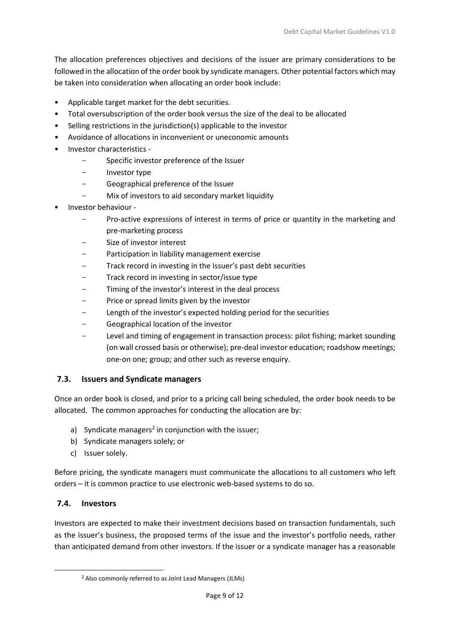The allocation preferences objectives and decisions of the issuer are primary considerations to be followed in the allocation of the order book by syndicate managers. Other potential factors which may be taken into consideration when allocating an order book include:

- Applicable target market for the debt securities.
- Total oversubscription of the order book versus the size of the deal to be allocated
- Selling restrictions in the jurisdiction(s) applicable to the investor
- Avoidance of allocations in inconvenient or uneconomic amounts
- Investor characteristics
	- Specific investor preference of the Issuer
	- Investor type
	- Geographical preference of the Issuer
	- Mix of investors to aid secondary market liquidity
- Investor behaviour
	- Pro-active expressions of interest in terms of price or quantity in the marketing and pre-marketing process
	- Size of investor interest
	- Participation in liability management exercise
	- Track record in investing in the Issuer's past debt securities
	- Track record in investing in sector/issue type
	- Timing of the investor's interest in the deal process
	- Price or spread limits given by the investor
	- Length of the investor's expected holding period for the securities
	- Geographical location of the investor
	- Level and timing of engagement in transaction process: pilot fishing; market sounding (on wall crossed basis or otherwise); pre-deal investor education; roadshow meetings; one-on one; group; and other such as reverse enquiry.

#### **7.3. Issuers and Syndicate managers**

Once an order book is closed, and prior to a pricing call being scheduled, the order book needs to be allocated. The common approaches for conducting the allocation are by:

- a) Syndicate managers<sup>2</sup> in conjunction with the issuer;
- b) Syndicate managers solely; or
- c) Issuer solely.

Before pricing, the syndicate managers must communicate the allocations to all customers who left orders – it is common practice to use electronic web-based systems to do so.

#### **7.4. Investors**

<span id="page-10-0"></span>Investors are expected to make their investment decisions based on transaction fundamentals, such as the issuer's business, the proposed terms of the issue and the investor's portfolio needs, rather than anticipated demand from other investors. If the issuer or a syndicate manager has a reasonable

<sup>2</sup> Also commonly referred to as Joint Lead Managers (JLMs)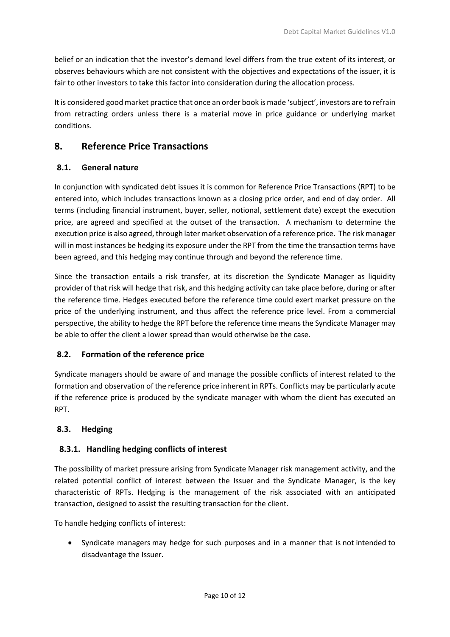belief or an indication that the investor's demand level differs from the true extent of its interest, or observes behaviours which are not consistent with the objectives and expectations of the issuer, it is fair to other investors to take this factor into consideration during the allocation process.

It is considered good market practice that once an order book is made 'subject', investors are to refrain from retracting orders unless there is a material move in price guidance or underlying market conditions.

# **8. Reference Price Transactions**

#### **8.1. General nature**

In conjunction with syndicated debt issues it is common for Reference Price Transactions (RPT) to be entered into, which includes transactions known as a closing price order, and end of day order. All terms (including financial instrument, buyer, seller, notional, settlement date) except the execution price, are agreed and specified at the outset of the transaction. A mechanism to determine the execution price is also agreed, through later market observation of a reference price. The risk manager will in most instances be hedging its exposure under the RPT from the time the transaction terms have been agreed, and this hedging may continue through and beyond the reference time.

Since the transaction entails a risk transfer, at its discretion the Syndicate Manager as liquidity provider of that risk will hedge that risk, and this hedging activity can take place before, during or after the reference time. Hedges executed before the reference time could exert market pressure on the price of the underlying instrument, and thus affect the reference price level. From a commercial perspective, the ability to hedge the RPT before the reference time means the Syndicate Manager may be able to offer the client a lower spread than would otherwise be the case.

#### **8.2. Formation of the reference price**

Syndicate managers should be aware of and manage the possible conflicts of interest related to the formation and observation of the reference price inherent in RPTs. Conflicts may be particularly acute if the reference price is produced by the syndicate manager with whom the client has executed an RPT.

#### **8.3. Hedging**

#### **8.3.1. Handling hedging conflicts of interest**

The possibility of market pressure arising from Syndicate Manager risk management activity, and the related potential conflict of interest between the Issuer and the Syndicate Manager, is the key characteristic of RPTs. Hedging is the management of the risk associated with an anticipated transaction, designed to assist the resulting transaction for the client.

To handle hedging conflicts of interest:

• Syndicate managers may hedge for such purposes and in a manner that is not intended to disadvantage the Issuer.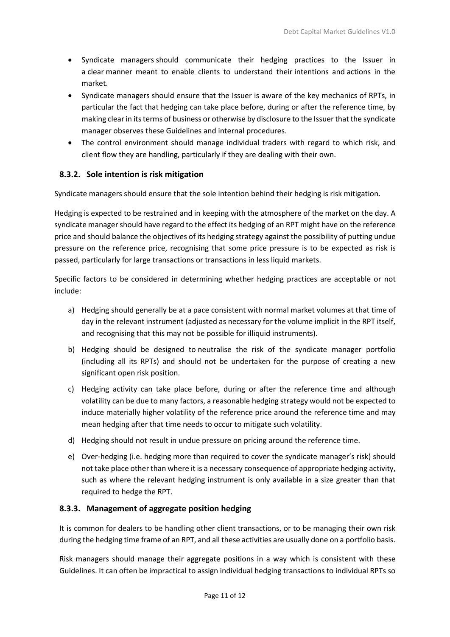- Syndicate managers should communicate their hedging practices to the Issuer in a clear manner meant to enable clients to understand their intentions and actions in the market.
- Syndicate managers should ensure that the Issuer is aware of the key mechanics of RPTs, in particular the fact that hedging can take place before, during or after the reference time, by making clear in its terms of business or otherwise by disclosure to the Issuerthat the syndicate manager observes these Guidelines and internal procedures.
- The control environment should manage individual traders with regard to which risk, and client flow they are handling, particularly if they are dealing with their own.

#### **8.3.2. Sole intention is risk mitigation**

Syndicate managers should ensure that the sole intention behind their hedging is risk mitigation.

Hedging is expected to be restrained and in keeping with the atmosphere of the market on the day. A syndicate manager should have regard to the effect its hedging of an RPT might have on the reference price and should balance the objectives of its hedging strategy against the possibility of putting undue pressure on the reference price, recognising that some price pressure is to be expected as risk is passed, particularly for large transactions or transactions in less liquid markets.

Specific factors to be considered in determining whether hedging practices are acceptable or not include:

- a) Hedging should generally be at a pace consistent with normal market volumes at that time of day in the relevant instrument (adjusted as necessary for the volume implicit in the RPT itself, and recognising that this may not be possible for illiquid instruments).
- b) Hedging should be designed to neutralise the risk of the syndicate manager portfolio (including all its RPTs) and should not be undertaken for the purpose of creating a new significant open risk position.
- c) Hedging activity can take place before, during or after the reference time and although volatility can be due to many factors, a reasonable hedging strategy would not be expected to induce materially higher volatility of the reference price around the reference time and may mean hedging after that time needs to occur to mitigate such volatility.
- d) Hedging should not result in undue pressure on pricing around the reference time.
- e) Over-hedging (i.e. hedging more than required to cover the syndicate manager's risk) should not take place other than where it is a necessary consequence of appropriate hedging activity, such as where the relevant hedging instrument is only available in a size greater than that required to hedge the RPT.

#### **8.3.3. Management of aggregate position hedging**

It is common for dealers to be handling other client transactions, or to be managing their own risk during the hedging time frame of an RPT, and all these activities are usually done on a portfolio basis.

Risk managers should manage their aggregate positions in a way which is consistent with these Guidelines. It can often be impractical to assign individual hedging transactions to individual RPTs so